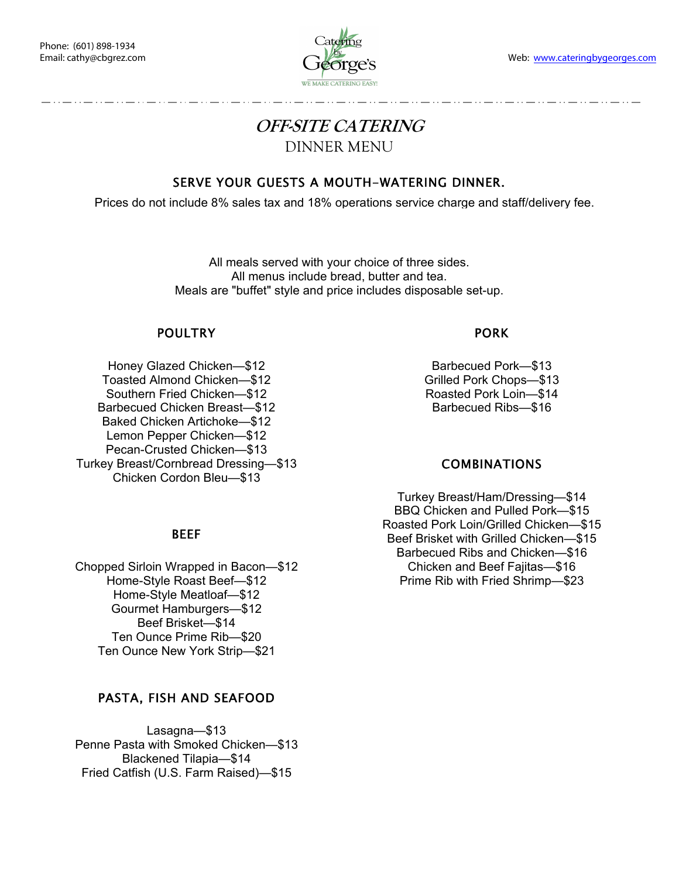

# **OFF-SITE CATERING**  DINNER MENU

# SERVE YOUR GUESTS A MOUTH-WATERING DINNER.

Prices do not include 8% sales tax and 18% operations service charge and staff/delivery fee.

All meals served with your choice of three sides. All menus include bread, butter and tea. Meals are "buffet" style and price includes disposable set-up.

#### POULTRY

Honey Glazed Chicken—\$12 Toasted Almond Chicken—\$12 Southern Fried Chicken—\$12 Barbecued Chicken Breast—\$12 Baked Chicken Artichoke—\$12 Lemon Pepper Chicken—\$12 Pecan-Crusted Chicken—\$13 Turkey Breast/Cornbread Dressing—\$13 Chicken Cordon Bleu—\$13

#### BEEF

Chopped Sirloin Wrapped in Bacon—\$12 Home-Style Roast Beef—\$12 Home-Style Meatloaf—\$12 Gourmet Hamburgers—\$12 Beef Brisket—\$14 Ten Ounce Prime Rib—\$20 Ten Ounce New York Strip—\$21

## PASTA, FISH AND SEAFOOD

Lasagna—\$13 Penne Pasta with Smoked Chicken—\$13 Blackened Tilapia—\$14 Fried Catfish (U.S. Farm Raised)—\$15

#### PORK

Barbecued Pork—\$13 Grilled Pork Chops—\$13 Roasted Pork Loin—\$14 Barbecued Ribs—\$16

## COMBINATIONS

Turkey Breast/Ham/Dressing—\$14 BBQ Chicken and Pulled Pork—\$15 Roasted Pork Loin/Grilled Chicken—\$15 Beef Brisket with Grilled Chicken—\$15 Barbecued Ribs and Chicken—\$16 Chicken and Beef Fajitas—\$16 Prime Rib with Fried Shrimp—\$23